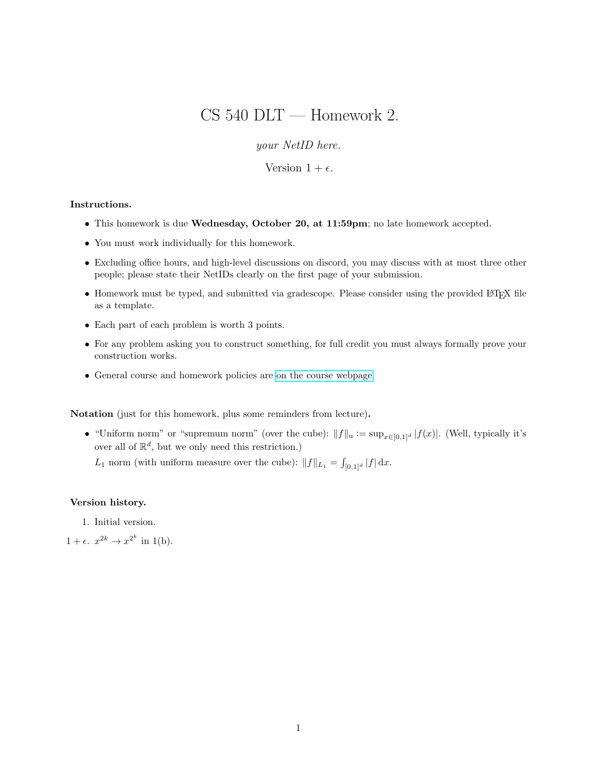# CS 540 DLT — Homework 2.

your NetID here.

Version  $1 + \epsilon$ .

### Instructions.

- This homework is due Wednesday, October 20, at 11:59pm; no late homework accepted.
- You must work individually for this homework.
- Excluding office hours, and high-level discussions on discord, you may discuss with at most three other people; please state their NetIDs clearly on the first page of your submission.
- Homework must be typed, and submitted via gradescope. Please consider using the provided LATEX file as a template.
- Each part of each problem is worth 3 points.
- For any problem asking you to construct something, for full credit you must always formally prove your construction works.
- General course and homework policies are [on the course webpage.](http://mjt.cs.illinois.edu/courses/dlt-f21/)

Notation (just for this homework, plus some reminders from lecture).

• "Uniform norm" or "supremum norm" (over the cube):  $||f||_u := \sup_{x \in [0,1]^d} |f(x)|$ . (Well, typically it's over all of  $\mathbb{R}^d$ , but we only need this restriction.)

L<sub>1</sub> norm (with uniform measure over the cube):  $||f||_{L_1} = \int_{[0,1]^d} |f| dx$ .

### Version history.

1. Initial version.

 $1 + \epsilon$ .  $x^{2k} \rightarrow x^{2^k}$  in 1(b).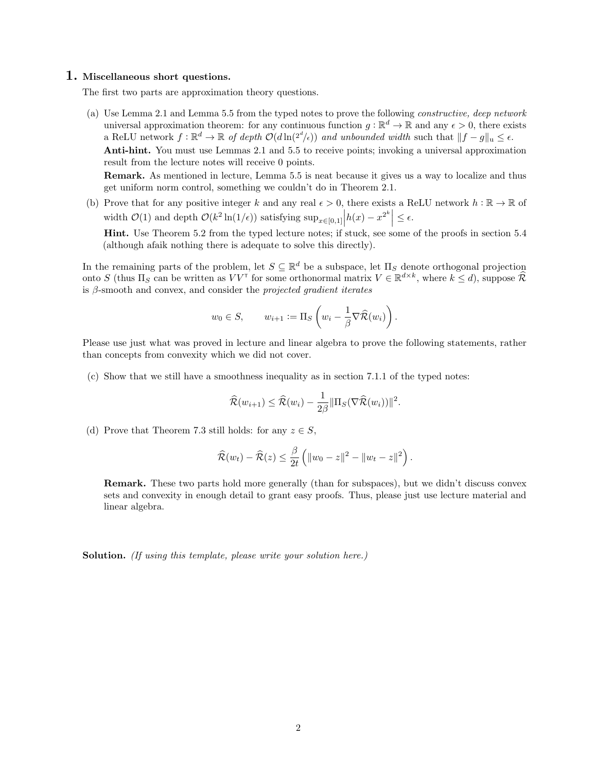## 1. Miscellaneous short questions.

The first two parts are approximation theory questions.

(a) Use Lemma 2.1 and Lemma 5.5 from the typed notes to prove the following constructive, deep network universal approximation theorem: for any continuous function  $g : \mathbb{R}^d \to \mathbb{R}$  and any  $\epsilon > 0$ , there exists a ReLU network  $f: \mathbb{R}^d \to \mathbb{R}$  of depth  $\mathcal{O}(d \ln(2^d/\epsilon))$  and unbounded width such that  $||f - g||_u \leq \epsilon$ . Anti-hint. You must use Lemmas 2.1 and 5.5 to receive points; invoking a universal approximation result from the lecture notes will receive 0 points.

Remark. As mentioned in lecture, Lemma 5.5 is neat because it gives us a way to localize and thus get uniform norm control, something we couldn't do in Theorem 2.1.

(b) Prove that for any positive integer k and any real  $\epsilon > 0$ , there exists a ReLU network  $h : \mathbb{R} \to \mathbb{R}$  of width  $\mathcal{O}(1)$  and depth  $\mathcal{O}(k^2 \ln(1/\epsilon))$  satisfying  $\sup_{x \in [0,1]} |h(x) - x^{2^k}| \leq \epsilon$ .

Hint. Use Theorem 5.2 from the typed lecture notes; if stuck, see some of the proofs in section 5.4 (although afaik nothing there is adequate to solve this directly).

In the remaining parts of the problem, let  $S \subseteq \mathbb{R}^d$  be a subspace, let  $\Pi_S$  denote orthogonal projection onto S (thus  $\Pi_S$  can be written as  $VV^{\dagger}$  for some orthonormal matrix  $V \in \mathbb{R}^{d \times k}$ , where  $k \leq d$ ), suppose  $\widehat{\mathcal{R}}$ is  $\beta$ -smooth and convex, and consider the *projected gradient iterates* 

$$
w_0 \in S
$$
,  $w_{i+1} := \Pi_S \left( w_i - \frac{1}{\beta} \nabla \widehat{\mathcal{R}}(w_i) \right)$ .

Please use just what was proved in lecture and linear algebra to prove the following statements, rather than concepts from convexity which we did not cover.

(c) Show that we still have a smoothness inequality as in section 7.1.1 of the typed notes:

$$
\widehat{\mathcal{R}}(w_{i+1}) \leq \widehat{\mathcal{R}}(w_i) - \frac{1}{2\beta} ||\Pi_S(\nabla \widehat{\mathcal{R}}(w_i))||^2.
$$

(d) Prove that Theorem 7.3 still holds: for any  $z \in S$ ,

$$
\widehat{\mathcal{R}}(w_t) - \widehat{\mathcal{R}}(z) \leq \frac{\beta}{2t} \left( \|w_0 - z\|^2 - \|w_t - z\|^2 \right).
$$

Remark. These two parts hold more generally (than for subspaces), but we didn't discuss convex sets and convexity in enough detail to grant easy proofs. Thus, please just use lecture material and linear algebra.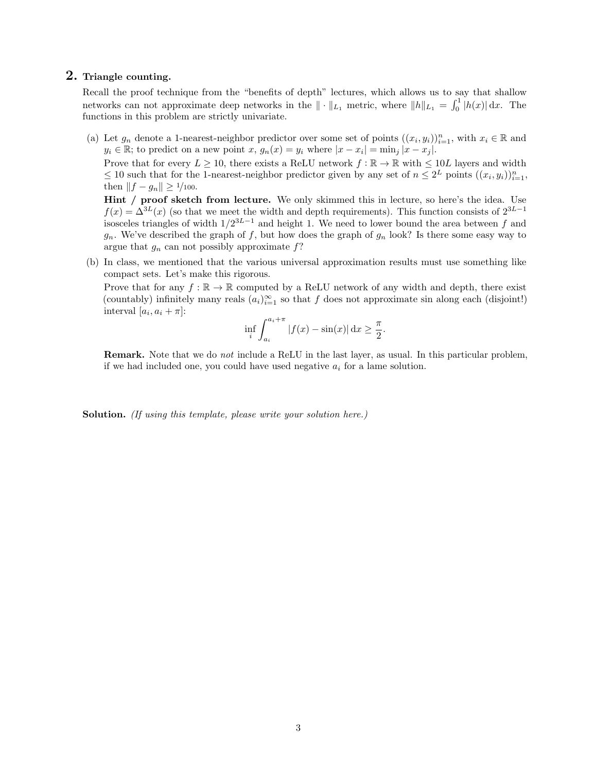# 2. Triangle counting.

Recall the proof technique from the "benefits of depth" lectures, which allows us to say that shallow networks can not approximate deep networks in the  $\|\cdot\|_{L_1}$  metric, where  $\|h\|_{L_1} = \int_0^1 |h(x)| dx$ . The functions in this problem are strictly univariate.

(a) Let  $g_n$  denote a 1-nearest-neighbor predictor over some set of points  $((x_i, y_i))_{i=1}^n$ , with  $x_i \in \mathbb{R}$  and  $y_i \in \mathbb{R}$ ; to predict on a new point  $x, g_n(x) = y_i$  where  $|x - x_i| = \min_j |x - x_j|$ .

Prove that for every  $L \ge 10$ , there exists a ReLU network  $f : \mathbb{R} \to \mathbb{R}$  with  $\le 10L$  layers and width  $\leq 10$  such that for the 1-nearest-neighbor predictor given by any set of  $n \leq 2^L$  points  $((x_i, y_i))_{i=1}^n$ , then  $||f - g_n|| \ge 1/100$ .

Hint / proof sketch from lecture. We only skimmed this in lecture, so here's the idea. Use  $f(x) = \Delta^{3L}(x)$  (so that we meet the width and depth requirements). This function consists of  $2^{3L-1}$ isosceles triangles of width  $1/2^{3L-1}$  and height 1. We need to lower bound the area between f and  $g_n$ . We've described the graph of f, but how does the graph of  $g_n$  look? Is there some easy way to argue that  $g_n$  can not possibly approximate  $f$ ?

(b) In class, we mentioned that the various universal approximation results must use something like compact sets. Let's make this rigorous.

Prove that for any  $f : \mathbb{R} \to \mathbb{R}$  computed by a ReLU network of any width and depth, there exist (countably) infinitely many reals  $(a_i)_{i=1}^{\infty}$  so that f does not approximate sin along each (disjoint!) interval  $[a_i, a_i + \pi]$ :

$$
\inf_{i} \int_{a_i}^{a_i + \pi} |f(x) - \sin(x)| dx \ge \frac{\pi}{2}.
$$

Remark. Note that we do not include a ReLU in the last layer, as usual. In this particular problem, if we had included one, you could have used negative  $a_i$  for a lame solution.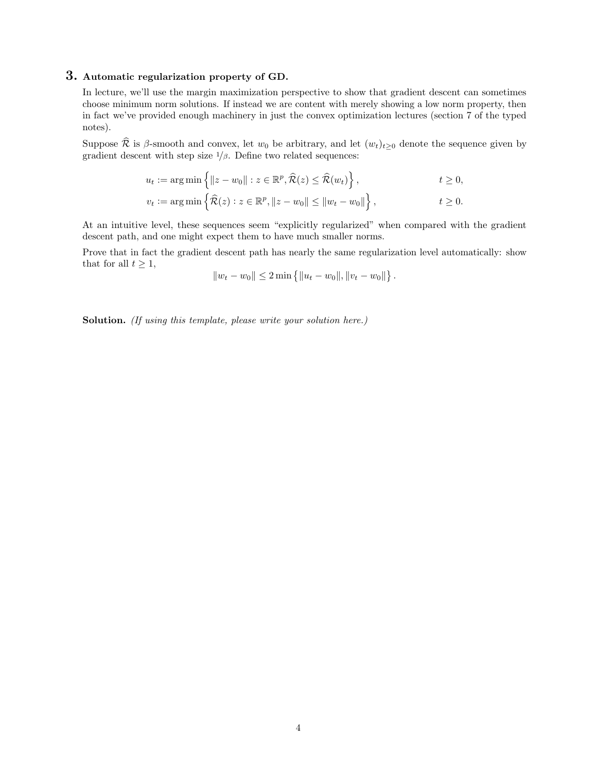# 3. Automatic regularization property of GD.

In lecture, we'll use the margin maximization perspective to show that gradient descent can sometimes choose minimum norm solutions. If instead we are content with merely showing a low norm property, then in fact we've provided enough machinery in just the convex optimization lectures (section 7 of the typed notes).

Suppose  $\widehat{\mathcal{R}}$  is β-smooth and convex, let  $w_0$  be arbitrary, and let  $(w_t)_{t\geq0}$  denote the sequence given by gradient descent with step size  $1/\beta$ . Define two related sequences:

$$
u_t := \arg\min\left\{ \|z - w_0\| : z \in \mathbb{R}^p, \widehat{\mathcal{R}}(z) \le \widehat{\mathcal{R}}(w_t) \right\}, \qquad t \ge 0,
$$
  

$$
v_t := \arg\min\left\{ \widehat{\mathcal{R}}(z) : z \in \mathbb{R}^p, \|z - w_0\| \le \|w_t - w_0\| \right\}, \qquad t \ge 0.
$$

At an intuitive level, these sequences seem "explicitly regularized" when compared with the gradient descent path, and one might expect them to have much smaller norms.

Prove that in fact the gradient descent path has nearly the same regularization level automatically: show that for all  $t \geq 1$ ,

$$
||w_t - w_0|| \le 2 \min \{ ||u_t - w_0||, ||v_t - w_0|| \}.
$$